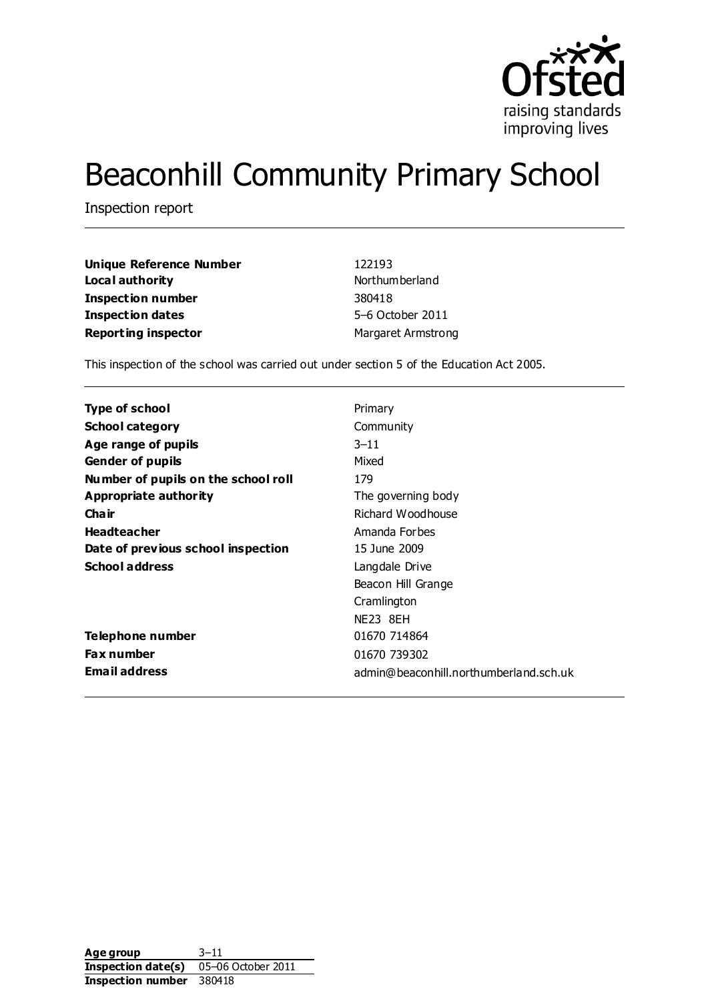

# Beaconhill Community Primary School

Inspection report

| <b>Unique Reference Number</b> | 122193                    |
|--------------------------------|---------------------------|
| Local authority                | Northum berland           |
| Inspection number              | 380418                    |
| <b>Inspection dates</b>        | 5-6 October 2011          |
| <b>Reporting inspector</b>     | <b>Margaret Armstrong</b> |

This inspection of the school was carried out under section 5 of the Education Act 2005.

| Type of school                      | Primary                                |
|-------------------------------------|----------------------------------------|
| <b>School category</b>              | Community                              |
| Age range of pupils                 | $3 - 11$                               |
| <b>Gender of pupils</b>             | Mixed                                  |
| Number of pupils on the school roll | 179                                    |
| Appropriate authority               | The governing body                     |
| Cha ir                              | Richard Woodhouse                      |
| <b>Headteacher</b>                  | Amanda Forbes                          |
| Date of previous school inspection  | 15 June 2009                           |
| <b>School address</b>               | Langdale Drive                         |
|                                     | Beacon Hill Grange                     |
|                                     | Cramlington                            |
|                                     | NE23 8EH                               |
| Telephone number                    | 01670 714864                           |
| <b>Fax number</b>                   | 01670 739302                           |
| <b>Email address</b>                | admin@beaconhill.northumberland.sch.uk |

Age group 3–11 **Inspection date(s)** 05–06 October 2011 **Inspection number** 380418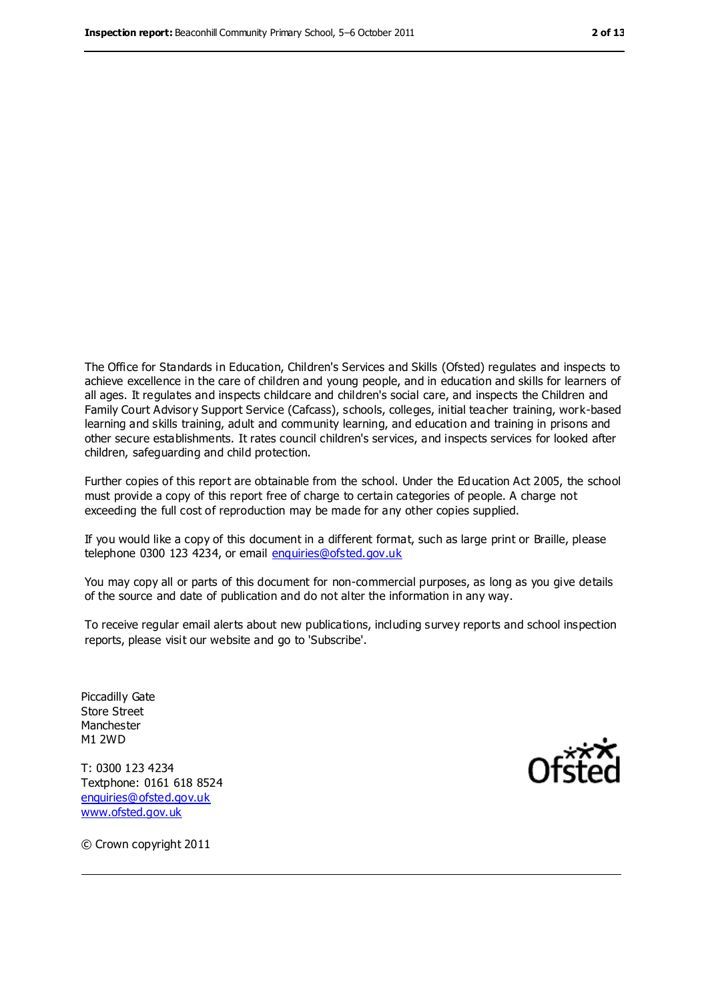The Office for Standards in Education, Children's Services and Skills (Ofsted) regulates and inspects to achieve excellence in the care of children and young people, and in education and skills for learners of all ages. It regulates and inspects childcare and children's social care, and inspects the Children and Family Court Advisory Support Service (Cafcass), schools, colleges, initial teacher training, work-based learning and skills training, adult and community learning, and education and training in prisons and other secure establishments. It rates council children's services, and inspects services for looked after children, safeguarding and child protection.

Further copies of this report are obtainable from the school. Under the Education Act 2005, the school must provide a copy of this report free of charge to certain categories of people. A charge not exceeding the full cost of reproduction may be made for any other copies supplied.

If you would like a copy of this document in a different format, such as large print or Braille, please telephone 0300 123 4234, or email [enquiries@ofsted.gov.uk](mailto:enquiries@ofsted.gov.uk)

You may copy all or parts of this document for non-commercial purposes, as long as you give details of the source and date of publication and do not alter the information in any way.

To receive regular email alerts about new publications, including survey reports and school inspection reports, please visit our website and go to 'Subscribe'.

Piccadilly Gate Store Street Manchester M1 2WD

T: 0300 123 4234 Textphone: 0161 618 8524 [enquiries@ofsted.gov.uk](mailto:enquiries@ofsted.gov.uk) [www.ofsted.gov.uk](http://www.ofsted.gov.uk/)



© Crown copyright 2011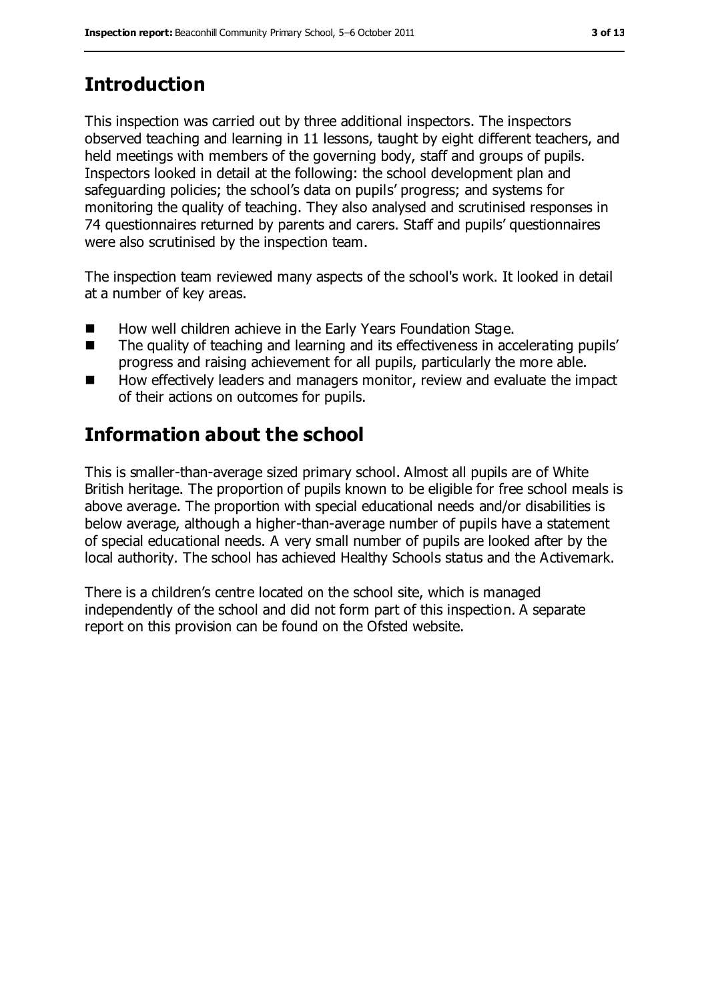# **Introduction**

This inspection was carried out by three additional inspectors. The inspectors observed teaching and learning in 11 lessons, taught by eight different teachers, and held meetings with members of the governing body, staff and groups of pupils. Inspectors looked in detail at the following: the school development plan and safeguarding policies; the school's data on pupils' progress; and systems for monitoring the quality of teaching. They also analysed and scrutinised responses in 74 questionnaires returned by parents and carers. Staff and pupils' questionnaires were also scrutinised by the inspection team.

The inspection team reviewed many aspects of the school's work. It looked in detail at a number of key areas.

- How well children achieve in the Early Years Foundation Stage.
- The quality of teaching and learning and its effectiveness in accelerating pupils' progress and raising achievement for all pupils, particularly the more able.
- How effectively leaders and managers monitor, review and evaluate the impact of their actions on outcomes for pupils.

## **Information about the school**

This is smaller-than-average sized primary school. Almost all pupils are of White British heritage. The proportion of pupils known to be eligible for free school meals is above average. The proportion with special educational needs and/or disabilities is below average, although a higher-than-average number of pupils have a statement of special educational needs. A very small number of pupils are looked after by the local authority. The school has achieved Healthy Schools status and the Activemark.

There is a children's centre located on the school site, which is managed independently of the school and did not form part of this inspection. A separate report on this provision can be found on the Ofsted website.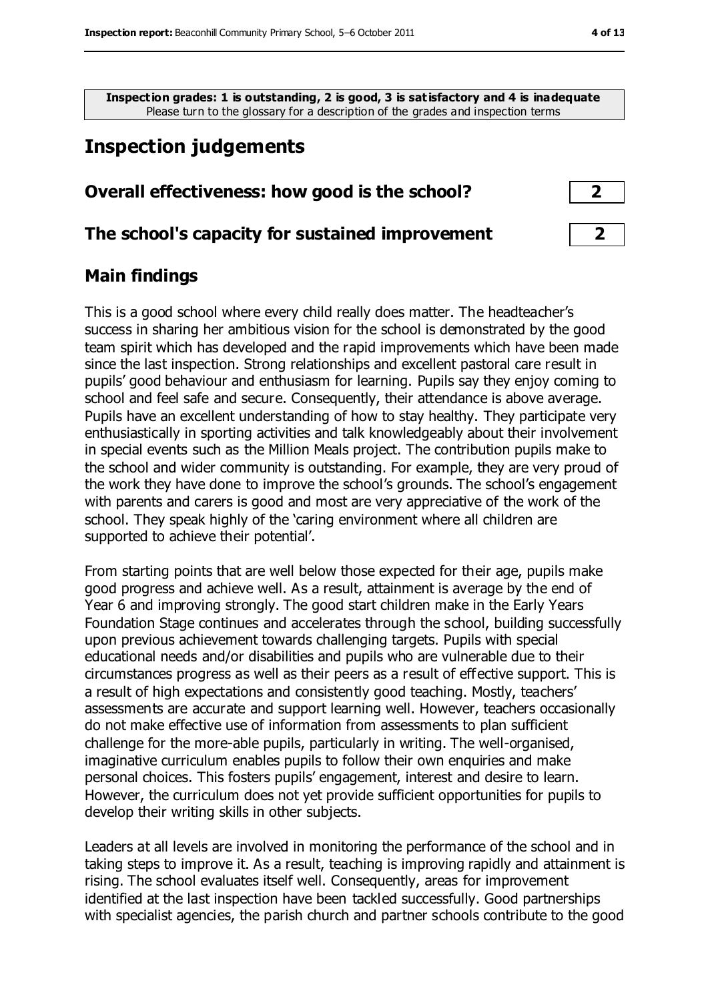**Inspection grades: 1 is outstanding, 2 is good, 3 is satisfactory and 4 is inadequate** Please turn to the glossary for a description of the grades and inspection terms

## **Inspection judgements**

## **Overall effectiveness: how good is the school? 2**

#### **The school's capacity for sustained improvement 2**

#### **Main findings**

This is a good school where every child really does matter. The headteacher's success in sharing her ambitious vision for the school is demonstrated by the good team spirit which has developed and the rapid improvements which have been made since the last inspection. Strong relationships and excellent pastoral care result in pupils' good behaviour and enthusiasm for learning. Pupils say they enjoy coming to school and feel safe and secure. Consequently, their attendance is above average. Pupils have an excellent understanding of how to stay healthy. They participate very enthusiastically in sporting activities and talk knowledgeably about their involvement in special events such as the Million Meals project. The contribution pupils make to the school and wider community is outstanding. For example, they are very proud of the work they have done to improve the school's grounds. The school's engagement with parents and carers is good and most are very appreciative of the work of the school. They speak highly of the 'caring environment where all children are supported to achieve their potential'.

From starting points that are well below those expected for their age, pupils make good progress and achieve well. As a result, attainment is average by the end of Year 6 and improving strongly. The good start children make in the Early Years Foundation Stage continues and accelerates through the school, building successfully upon previous achievement towards challenging targets. Pupils with special educational needs and/or disabilities and pupils who are vulnerable due to their circumstances progress as well as their peers as a result of effective support. This is a result of high expectations and consistently good teaching. Mostly, teachers' assessments are accurate and support learning well. However, teachers occasionally do not make effective use of information from assessments to plan sufficient challenge for the more-able pupils, particularly in writing. The well-organised, imaginative curriculum enables pupils to follow their own enquiries and make personal choices. This fosters pupils' engagement, interest and desire to learn. However, the curriculum does not yet provide sufficient opportunities for pupils to develop their writing skills in other subjects.

Leaders at all levels are involved in monitoring the performance of the school and in taking steps to improve it. As a result, teaching is improving rapidly and attainment is rising. The school evaluates itself well. Consequently, areas for improvement identified at the last inspection have been tackled successfully. Good partnerships with specialist agencies, the parish church and partner schools contribute to the good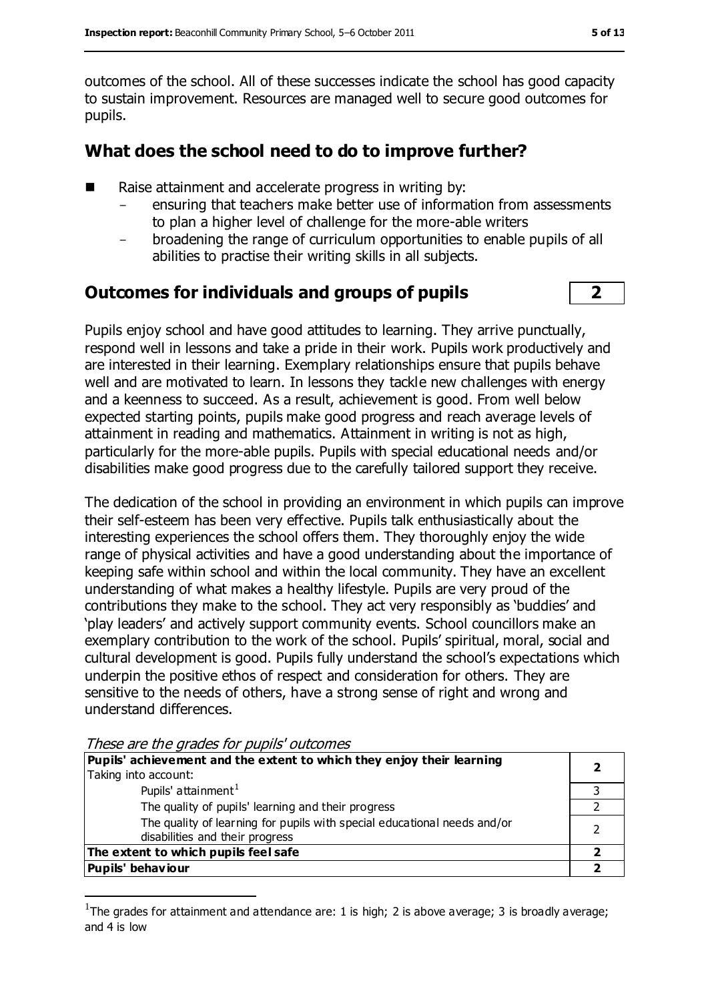outcomes of the school. All of these successes indicate the school has good capacity to sustain improvement. Resources are managed well to secure good outcomes for pupils.

#### **What does the school need to do to improve further?**

- Raise attainment and accelerate progress in writing by:
	- ensuring that teachers make better use of information from assessments to plan a higher level of challenge for the more-able writers
	- broadening the range of curriculum opportunities to enable pupils of all abilities to practise their writing skills in all subjects.

#### **Outcomes for individuals and groups of pupils 2**

Pupils enjoy school and have good attitudes to learning. They arrive punctually, respond well in lessons and take a pride in their work. Pupils work productively and are interested in their learning. Exemplary relationships ensure that pupils behave well and are motivated to learn. In lessons they tackle new challenges with energy and a keenness to succeed. As a result, achievement is good. From well below expected starting points, pupils make good progress and reach average levels of attainment in reading and mathematics. Attainment in writing is not as high, particularly for the more-able pupils. Pupils with special educational needs and/or disabilities make good progress due to the carefully tailored support they receive.

The dedication of the school in providing an environment in which pupils can improve their self-esteem has been very effective. Pupils talk enthusiastically about the interesting experiences the school offers them. They thoroughly enjoy the wide range of physical activities and have a good understanding about the importance of keeping safe within school and within the local community. They have an excellent understanding of what makes a healthy lifestyle. Pupils are very proud of the contributions they make to the school. They act very responsibly as 'buddies' and 'play leaders' and actively support community events. School councillors make an exemplary contribution to the work of the school. Pupils' spiritual, moral, social and cultural development is good. Pupils fully understand the school's expectations which underpin the positive ethos of respect and consideration for others. They are sensitive to the needs of others, have a strong sense of right and wrong and understand differences.

These are the grades for pupils' outcomes

 $\overline{a}$ 

| Pupils' achievement and the extent to which they enjoy their learning                                       |  |
|-------------------------------------------------------------------------------------------------------------|--|
| Taking into account:                                                                                        |  |
| Pupils' attainment <sup>1</sup>                                                                             |  |
| The quality of pupils' learning and their progress                                                          |  |
| The quality of learning for pupils with special educational needs and/or<br>disabilities and their progress |  |
| The extent to which pupils feel safe                                                                        |  |
| Pupils' behaviour                                                                                           |  |

<sup>&</sup>lt;sup>1</sup>The grades for attainment and attendance are: 1 is high; 2 is above average; 3 is broadly average; and 4 is low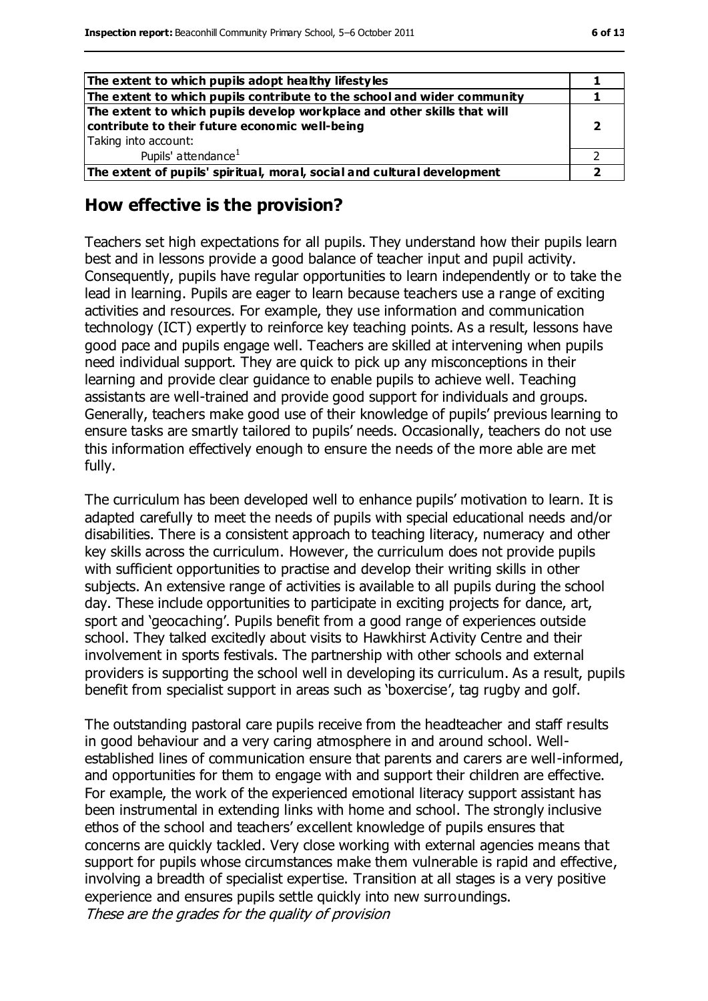| The extent to which pupils adopt healthy lifestyles                                                                                               |  |
|---------------------------------------------------------------------------------------------------------------------------------------------------|--|
| The extent to which pupils contribute to the school and wider community                                                                           |  |
| The extent to which pupils develop workplace and other skills that will<br>contribute to their future economic well-being<br>Taking into account: |  |
|                                                                                                                                                   |  |
| Pupils' attendance <sup>1</sup>                                                                                                                   |  |
| The extent of pupils' spiritual, moral, social and cultural development                                                                           |  |

#### **How effective is the provision?**

Teachers set high expectations for all pupils. They understand how their pupils learn best and in lessons provide a good balance of teacher input and pupil activity. Consequently, pupils have regular opportunities to learn independently or to take the lead in learning. Pupils are eager to learn because teachers use a range of exciting activities and resources. For example, they use information and communication technology (ICT) expertly to reinforce key teaching points. As a result, lessons have good pace and pupils engage well. Teachers are skilled at intervening when pupils need individual support. They are quick to pick up any misconceptions in their learning and provide clear guidance to enable pupils to achieve well. Teaching assistants are well-trained and provide good support for individuals and groups. Generally, teachers make good use of their knowledge of pupils' previous learning to ensure tasks are smartly tailored to pupils' needs. Occasionally, teachers do not use this information effectively enough to ensure the needs of the more able are met fully.

The curriculum has been developed well to enhance pupils' motivation to learn. It is adapted carefully to meet the needs of pupils with special educational needs and/or disabilities. There is a consistent approach to teaching literacy, numeracy and other key skills across the curriculum. However, the curriculum does not provide pupils with sufficient opportunities to practise and develop their writing skills in other subjects. An extensive range of activities is available to all pupils during the school day. These include opportunities to participate in exciting projects for dance, art, sport and 'geocaching'. Pupils benefit from a good range of experiences outside school. They talked excitedly about visits to Hawkhirst Activity Centre and their involvement in sports festivals. The partnership with other schools and external providers is supporting the school well in developing its curriculum. As a result, pupils benefit from specialist support in areas such as 'boxercise', tag rugby and golf.

The outstanding pastoral care pupils receive from the headteacher and staff results in good behaviour and a very caring atmosphere in and around school. Wellestablished lines of communication ensure that parents and carers are well-informed, and opportunities for them to engage with and support their children are effective. For example, the work of the experienced emotional literacy support assistant has been instrumental in extending links with home and school. The strongly inclusive ethos of the school and teachers' excellent knowledge of pupils ensures that concerns are quickly tackled. Very close working with external agencies means that support for pupils whose circumstances make them vulnerable is rapid and effective, involving a breadth of specialist expertise. Transition at all stages is a very positive experience and ensures pupils settle quickly into new surroundings. These are the grades for the quality of provision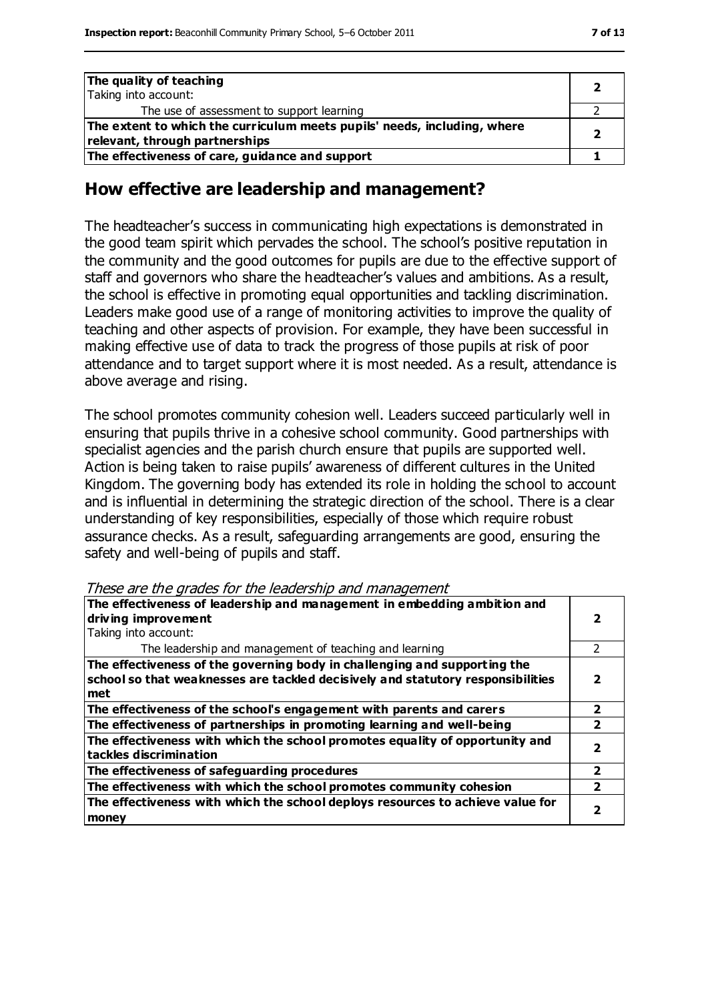| The quality of teaching                                                  |  |
|--------------------------------------------------------------------------|--|
| Taking into account:                                                     |  |
| The use of assessment to support learning                                |  |
| The extent to which the curriculum meets pupils' needs, including, where |  |
| relevant, through partnerships                                           |  |
| The effectiveness of care, guidance and support                          |  |

#### **How effective are leadership and management?**

The headteacher's success in communicating high expectations is demonstrated in the good team spirit which pervades the school. The school's positive reputation in the community and the good outcomes for pupils are due to the effective support of staff and governors who share the headteacher's values and ambitions. As a result, the school is effective in promoting equal opportunities and tackling discrimination. Leaders make good use of a range of monitoring activities to improve the quality of teaching and other aspects of provision. For example, they have been successful in making effective use of data to track the progress of those pupils at risk of poor attendance and to target support where it is most needed. As a result, attendance is above average and rising.

The school promotes community cohesion well. Leaders succeed particularly well in ensuring that pupils thrive in a cohesive school community. Good partnerships with specialist agencies and the parish church ensure that pupils are supported well. Action is being taken to raise pupils' awareness of different cultures in the United Kingdom. The governing body has extended its role in holding the school to account and is influential in determining the strategic direction of the school. There is a clear understanding of key responsibilities, especially of those which require robust assurance checks. As a result, safeguarding arrangements are good, ensuring the safety and well-being of pupils and staff.

These are the grades for the leadership and management

| The effectiveness of leadership and management in embedding ambition and<br>driving improvement                                                                     |   |
|---------------------------------------------------------------------------------------------------------------------------------------------------------------------|---|
| Taking into account:                                                                                                                                                |   |
| The leadership and management of teaching and learning                                                                                                              | 2 |
| The effectiveness of the governing body in challenging and supporting the<br>school so that weaknesses are tackled decisively and statutory responsibilities<br>met |   |
| The effectiveness of the school's engagement with parents and carers                                                                                                | 7 |
| The effectiveness of partnerships in promoting learning and well-being                                                                                              | 2 |
| The effectiveness with which the school promotes equality of opportunity and<br>tackles discrimination                                                              |   |
| The effectiveness of safeguarding procedures                                                                                                                        | 2 |
| The effectiveness with which the school promotes community cohesion                                                                                                 | 2 |
| The effectiveness with which the school deploys resources to achieve value for<br>money                                                                             |   |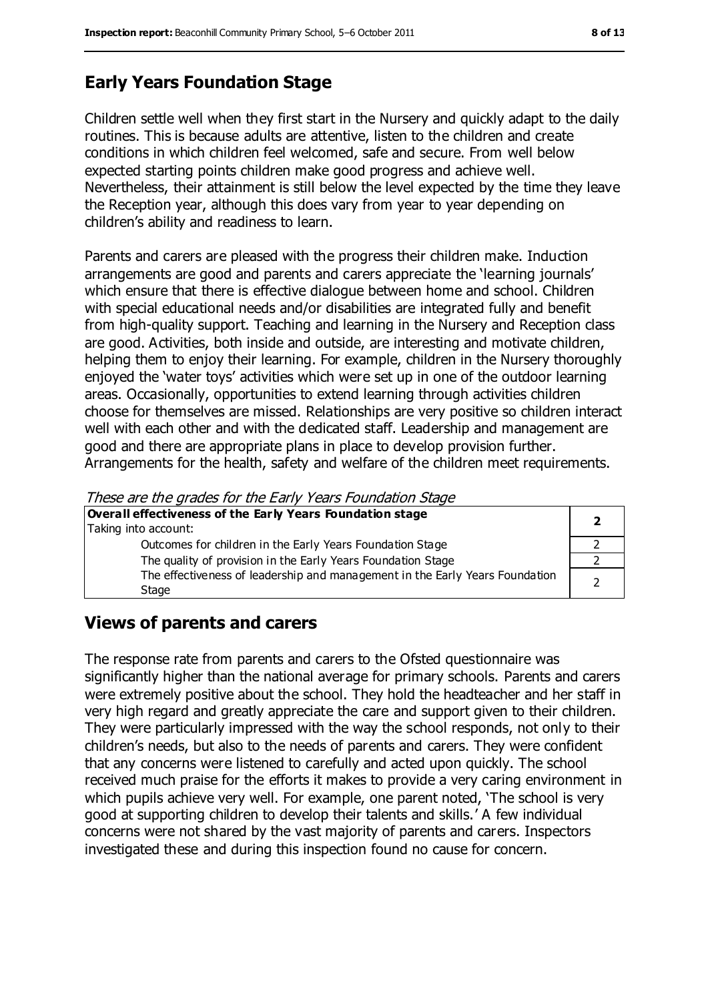## **Early Years Foundation Stage**

Children settle well when they first start in the Nursery and quickly adapt to the daily routines. This is because adults are attentive, listen to the children and create conditions in which children feel welcomed, safe and secure. From well below expected starting points children make good progress and achieve well. Nevertheless, their attainment is still below the level expected by the time they leave the Reception year, although this does vary from year to year depending on children's ability and readiness to learn.

Parents and carers are pleased with the progress their children make. Induction arrangements are good and parents and carers appreciate the 'learning journals' which ensure that there is effective dialogue between home and school. Children with special educational needs and/or disabilities are integrated fully and benefit from high-quality support. Teaching and learning in the Nursery and Reception class are good. Activities, both inside and outside, are interesting and motivate children, helping them to enjoy their learning. For example, children in the Nursery thoroughly enjoyed the 'water toys' activities which were set up in one of the outdoor learning areas. Occasionally, opportunities to extend learning through activities children choose for themselves are missed. Relationships are very positive so children interact well with each other and with the dedicated staff. Leadership and management are good and there are appropriate plans in place to develop provision further. Arrangements for the health, safety and welfare of the children meet requirements.

These are the grades for the Early Years Foundation Stage

| Overall effectiveness of the Early Years Foundation stage                             |  |
|---------------------------------------------------------------------------------------|--|
| Taking into account:                                                                  |  |
| Outcomes for children in the Early Years Foundation Stage                             |  |
| The quality of provision in the Early Years Foundation Stage                          |  |
| The effectiveness of leadership and management in the Early Years Foundation<br>Stage |  |

### **Views of parents and carers**

The response rate from parents and carers to the Ofsted questionnaire was significantly higher than the national average for primary schools. Parents and carers were extremely positive about the school. They hold the headteacher and her staff in very high regard and greatly appreciate the care and support given to their children. They were particularly impressed with the way the school responds, not only to their children's needs, but also to the needs of parents and carers. They were confident that any concerns were listened to carefully and acted upon quickly. The school received much praise for the efforts it makes to provide a very caring environment in which pupils achieve very well. For example, one parent noted, 'The school is very good at supporting children to develop their talents and skills.' A few individual concerns were not shared by the vast majority of parents and carers. Inspectors investigated these and during this inspection found no cause for concern.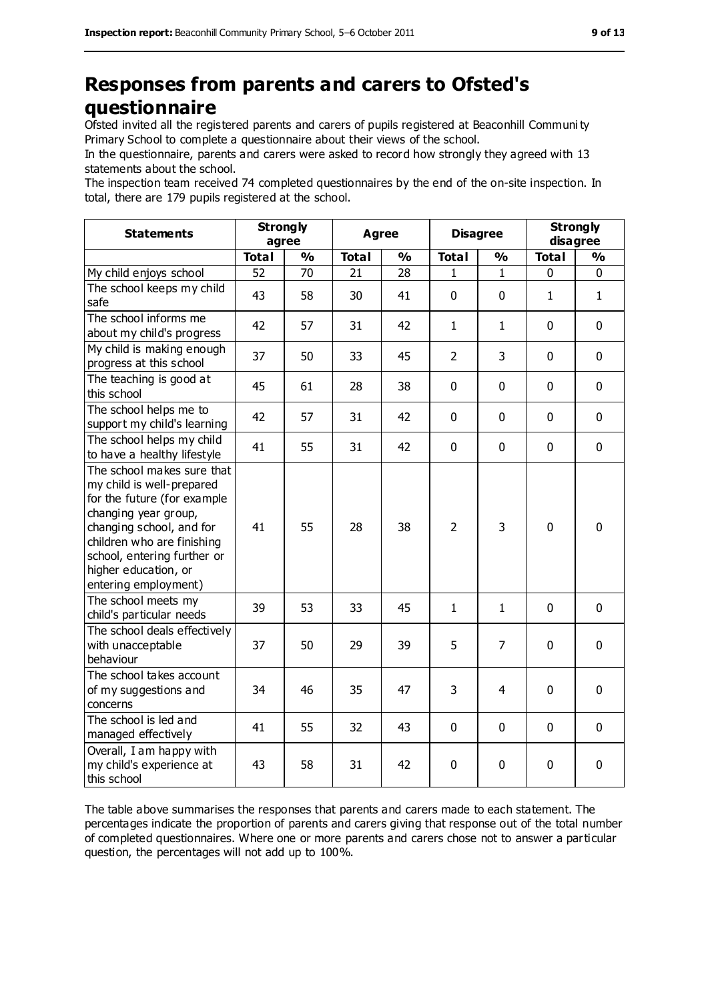## **Responses from parents and carers to Ofsted's questionnaire**

Ofsted invited all the registered parents and carers of pupils registered at Beaconhill Communi ty Primary School to complete a questionnaire about their views of the school.

In the questionnaire, parents and carers were asked to record how strongly they agreed with 13 statements about the school.

The inspection team received 74 completed questionnaires by the end of the on-site inspection. In total, there are 179 pupils registered at the school.

| <b>Statements</b>                                                                                                                                                                                                                                       | <b>Strongly</b><br>agree |               | <b>Agree</b> |               | <b>Disagree</b> |                | <b>Strongly</b><br>disagree |               |
|---------------------------------------------------------------------------------------------------------------------------------------------------------------------------------------------------------------------------------------------------------|--------------------------|---------------|--------------|---------------|-----------------|----------------|-----------------------------|---------------|
|                                                                                                                                                                                                                                                         | <b>Total</b>             | $\frac{9}{6}$ | <b>Total</b> | $\frac{1}{2}$ | <b>Total</b>    | $\frac{1}{2}$  | <b>Total</b>                | $\frac{9}{6}$ |
| My child enjoys school                                                                                                                                                                                                                                  | 52                       | 70            | 21           | 28            | 1               | 1              | 0                           | 0             |
| The school keeps my child<br>safe                                                                                                                                                                                                                       | 43                       | 58            | 30           | 41            | 0               | $\mathbf 0$    | $\mathbf{1}$                | $\mathbf{1}$  |
| The school informs me<br>about my child's progress                                                                                                                                                                                                      | 42                       | 57            | 31           | 42            | 1               | $\mathbf{1}$   | $\mathbf 0$                 | $\mathbf 0$   |
| My child is making enough<br>progress at this school                                                                                                                                                                                                    | 37                       | 50            | 33           | 45            | $\overline{2}$  | 3              | $\mathbf 0$                 | $\mathbf 0$   |
| The teaching is good at<br>this school                                                                                                                                                                                                                  | 45                       | 61            | 28           | 38            | 0               | $\mathbf 0$    | $\mathbf 0$                 | $\mathbf 0$   |
| The school helps me to<br>support my child's learning                                                                                                                                                                                                   | 42                       | 57            | 31           | 42            | 0               | $\mathbf 0$    | $\mathbf 0$                 | $\mathbf 0$   |
| The school helps my child<br>to have a healthy lifestyle                                                                                                                                                                                                | 41                       | 55            | 31           | 42            | 0               | $\mathbf 0$    | $\mathbf 0$                 | $\mathbf 0$   |
| The school makes sure that<br>my child is well-prepared<br>for the future (for example<br>changing year group,<br>changing school, and for<br>children who are finishing<br>school, entering further or<br>higher education, or<br>entering employment) | 41                       | 55            | 28           | 38            | $\overline{2}$  | 3              | $\mathbf 0$                 | $\mathbf 0$   |
| The school meets my<br>child's particular needs                                                                                                                                                                                                         | 39                       | 53            | 33           | 45            | $\mathbf{1}$    | $\mathbf{1}$   | $\mathbf 0$                 | $\mathbf 0$   |
| The school deals effectively<br>with unacceptable<br>behaviour                                                                                                                                                                                          | 37                       | 50            | 29           | 39            | 5               | $\overline{7}$ | $\mathbf 0$                 | $\mathbf 0$   |
| The school takes account<br>of my suggestions and<br>concerns                                                                                                                                                                                           | 34                       | 46            | 35           | 47            | 3               | 4              | $\mathbf 0$                 | $\mathbf 0$   |
| The school is led and<br>managed effectively                                                                                                                                                                                                            | 41                       | 55            | 32           | 43            | 0               | $\mathbf 0$    | $\mathbf 0$                 | $\mathbf 0$   |
| Overall, I am happy with<br>my child's experience at<br>this school                                                                                                                                                                                     | 43                       | 58            | 31           | 42            | 0               | $\mathbf 0$    | $\mathbf 0$                 | 0             |

The table above summarises the responses that parents and carers made to each statement. The percentages indicate the proportion of parents and carers giving that response out of the total number of completed questionnaires. Where one or more parents and carers chose not to answer a particular question, the percentages will not add up to 100%.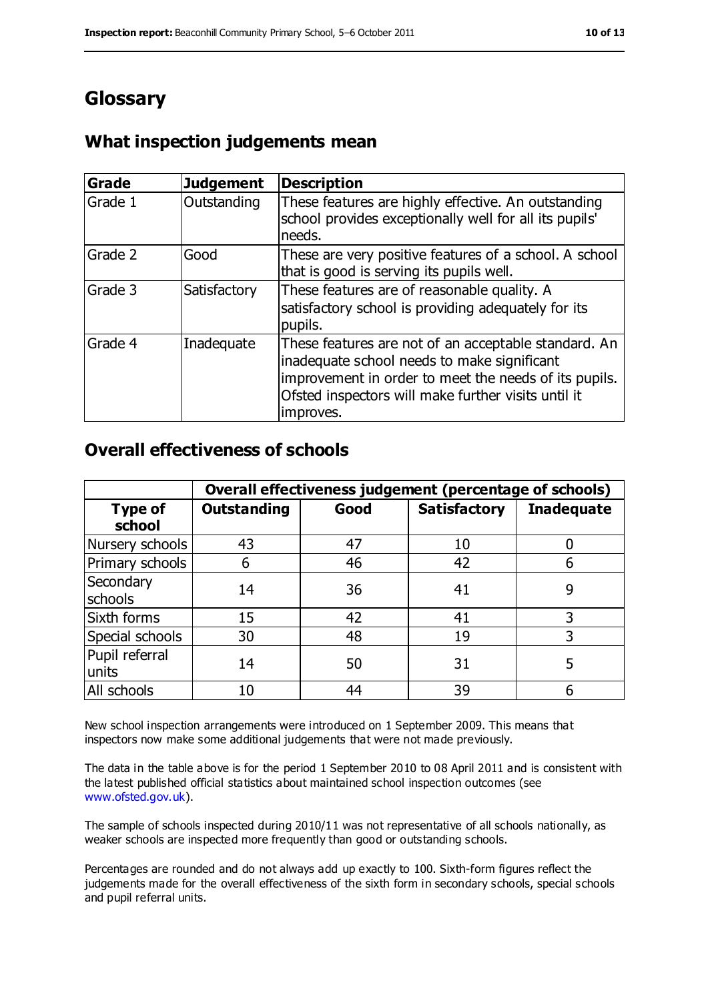## **Glossary**

#### **What inspection judgements mean**

| <b>Grade</b> | <b>Judgement</b> | <b>Description</b>                                                                                                                                                                                                               |
|--------------|------------------|----------------------------------------------------------------------------------------------------------------------------------------------------------------------------------------------------------------------------------|
| Grade 1      | Outstanding      | These features are highly effective. An outstanding<br>school provides exceptionally well for all its pupils'<br>needs.                                                                                                          |
| Grade 2      | Good             | These are very positive features of a school. A school<br>that is good is serving its pupils well.                                                                                                                               |
| Grade 3      | Satisfactory     | These features are of reasonable quality. A<br>satisfactory school is providing adequately for its<br>pupils.                                                                                                                    |
| Grade 4      | Inadequate       | These features are not of an acceptable standard. An<br>inadequate school needs to make significant<br>improvement in order to meet the needs of its pupils.<br>Ofsted inspectors will make further visits until it<br>improves. |

#### **Overall effectiveness of schools**

|                          | Overall effectiveness judgement (percentage of schools) |      |                     |                   |
|--------------------------|---------------------------------------------------------|------|---------------------|-------------------|
| <b>Type of</b><br>school | <b>Outstanding</b>                                      | Good | <b>Satisfactory</b> | <b>Inadequate</b> |
| Nursery schools          | 43                                                      | 47   | 10                  |                   |
| Primary schools          | 6                                                       | 46   | 42                  |                   |
| Secondary<br>schools     | 14                                                      | 36   | 41                  | 9                 |
| Sixth forms              | 15                                                      | 42   | 41                  | 3                 |
| Special schools          | 30                                                      | 48   | 19                  | 3                 |
| Pupil referral<br>units  | 14                                                      | 50   | 31                  |                   |
| All schools              | 10                                                      | 44   | 39                  |                   |

New school inspection arrangements were introduced on 1 September 2009. This means that inspectors now make some additional judgements that were not made previously.

The data in the table above is for the period 1 September 2010 to 08 April 2011 and is consistent with the latest published official statistics about maintained school inspection outcomes (see [www.ofsted.gov.uk\)](http://www.ofsted.gov.uk/).

The sample of schools inspected during 2010/11 was not representative of all schools nationally, as weaker schools are inspected more frequently than good or outstanding schools.

Percentages are rounded and do not always add up exactly to 100. Sixth-form figures reflect the judgements made for the overall effectiveness of the sixth form in secondary schools, special schools and pupil referral units.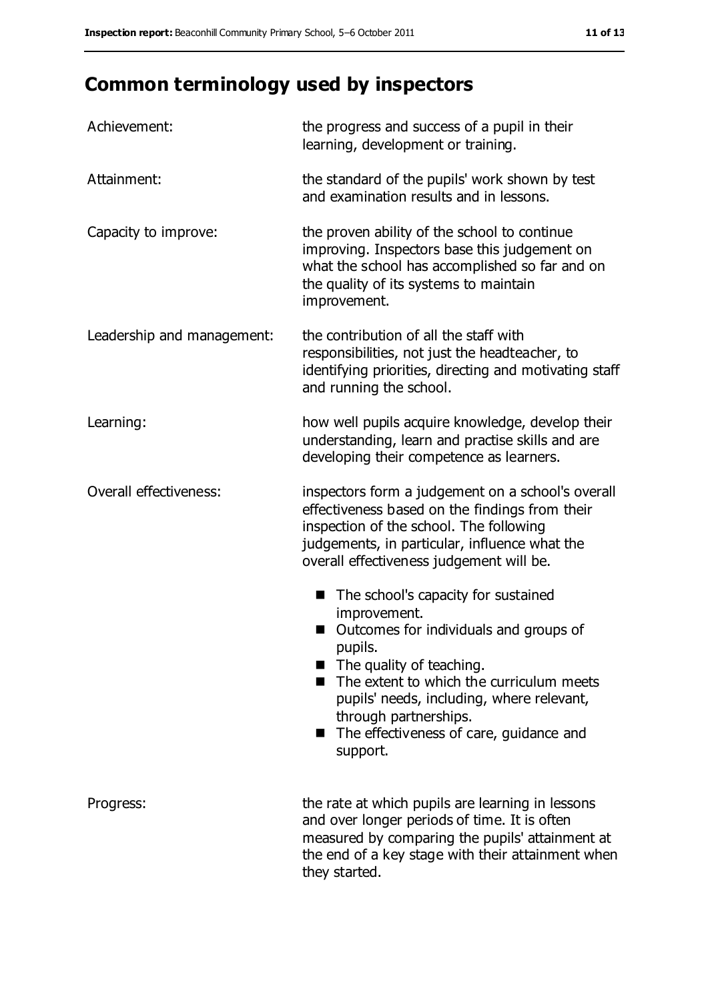# **Common terminology used by inspectors**

| Achievement:               | the progress and success of a pupil in their<br>learning, development or training.                                                                                                                                                                                                                                                       |
|----------------------------|------------------------------------------------------------------------------------------------------------------------------------------------------------------------------------------------------------------------------------------------------------------------------------------------------------------------------------------|
| Attainment:                | the standard of the pupils' work shown by test<br>and examination results and in lessons.                                                                                                                                                                                                                                                |
| Capacity to improve:       | the proven ability of the school to continue<br>improving. Inspectors base this judgement on<br>what the school has accomplished so far and on<br>the quality of its systems to maintain<br>improvement.                                                                                                                                 |
| Leadership and management: | the contribution of all the staff with<br>responsibilities, not just the headteacher, to<br>identifying priorities, directing and motivating staff<br>and running the school.                                                                                                                                                            |
| Learning:                  | how well pupils acquire knowledge, develop their<br>understanding, learn and practise skills and are<br>developing their competence as learners.                                                                                                                                                                                         |
| Overall effectiveness:     | inspectors form a judgement on a school's overall<br>effectiveness based on the findings from their<br>inspection of the school. The following<br>judgements, in particular, influence what the<br>overall effectiveness judgement will be.                                                                                              |
|                            | The school's capacity for sustained<br>improvement.<br>Outcomes for individuals and groups of<br>pupils.<br>The quality of teaching.<br>$\blacksquare$<br>The extent to which the curriculum meets<br>pupils' needs, including, where relevant,<br>through partnerships.<br>The effectiveness of care, guidance and<br>a a s<br>support. |
| Progress:                  | the rate at which pupils are learning in lessons<br>and over longer periods of time. It is often<br>measured by comparing the pupils' attainment at<br>the end of a key stage with their attainment when<br>they started.                                                                                                                |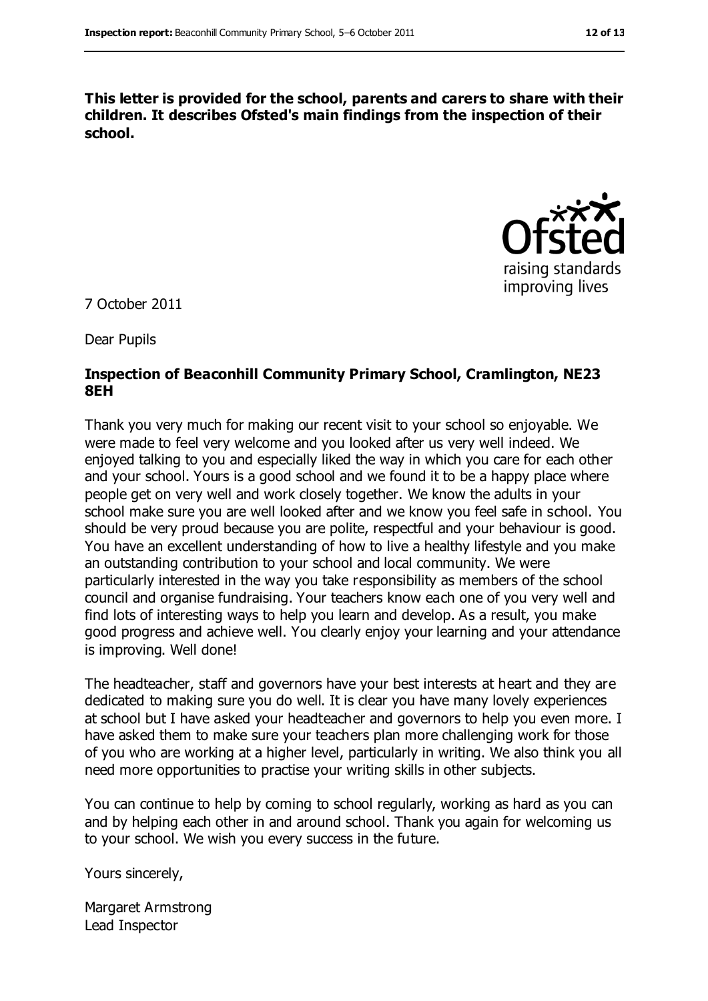**This letter is provided for the school, parents and carers to share with their children. It describes Ofsted's main findings from the inspection of their school.**



7 October 2011

Dear Pupils

#### **Inspection of Beaconhill Community Primary School, Cramlington, NE23 8EH**

Thank you very much for making our recent visit to your school so enjoyable. We were made to feel very welcome and you looked after us very well indeed. We enjoyed talking to you and especially liked the way in which you care for each other and your school. Yours is a good school and we found it to be a happy place where people get on very well and work closely together. We know the adults in your school make sure you are well looked after and we know you feel safe in school. You should be very proud because you are polite, respectful and your behaviour is good. You have an excellent understanding of how to live a healthy lifestyle and you make an outstanding contribution to your school and local community. We were particularly interested in the way you take responsibility as members of the school council and organise fundraising. Your teachers know each one of you very well and find lots of interesting ways to help you learn and develop. As a result, you make good progress and achieve well. You clearly enjoy your learning and your attendance is improving. Well done!

The headteacher, staff and governors have your best interests at heart and they are dedicated to making sure you do well. It is clear you have many lovely experiences at school but I have asked your headteacher and governors to help you even more. I have asked them to make sure your teachers plan more challenging work for those of you who are working at a higher level, particularly in writing. We also think you all need more opportunities to practise your writing skills in other subjects.

You can continue to help by coming to school regularly, working as hard as you can and by helping each other in and around school. Thank you again for welcoming us to your school. We wish you every success in the future.

Yours sincerely,

Margaret Armstrong Lead Inspector